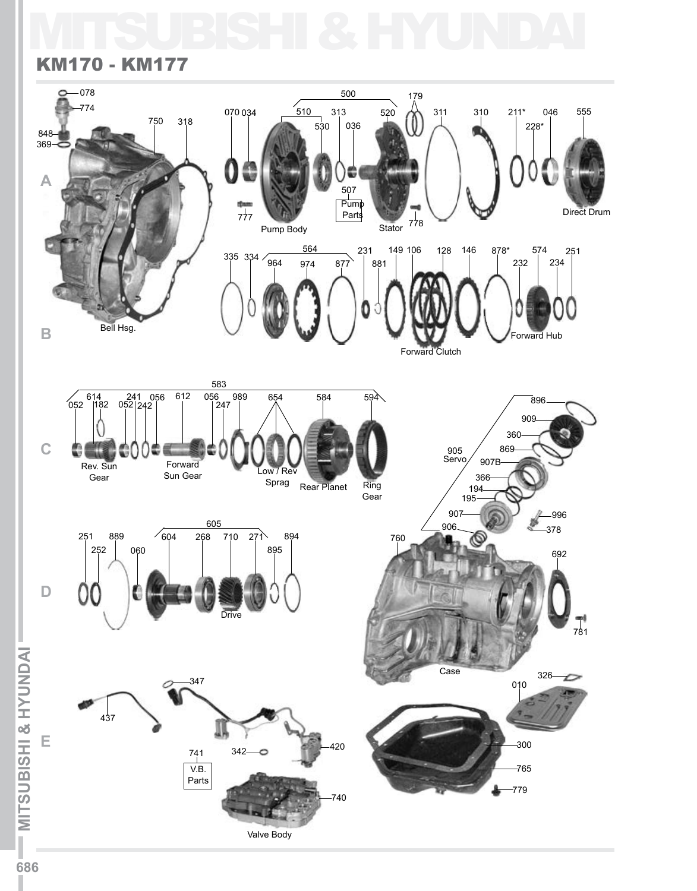## MITSUBISHI & HYUNDAI

## KM170 - KM177



I.